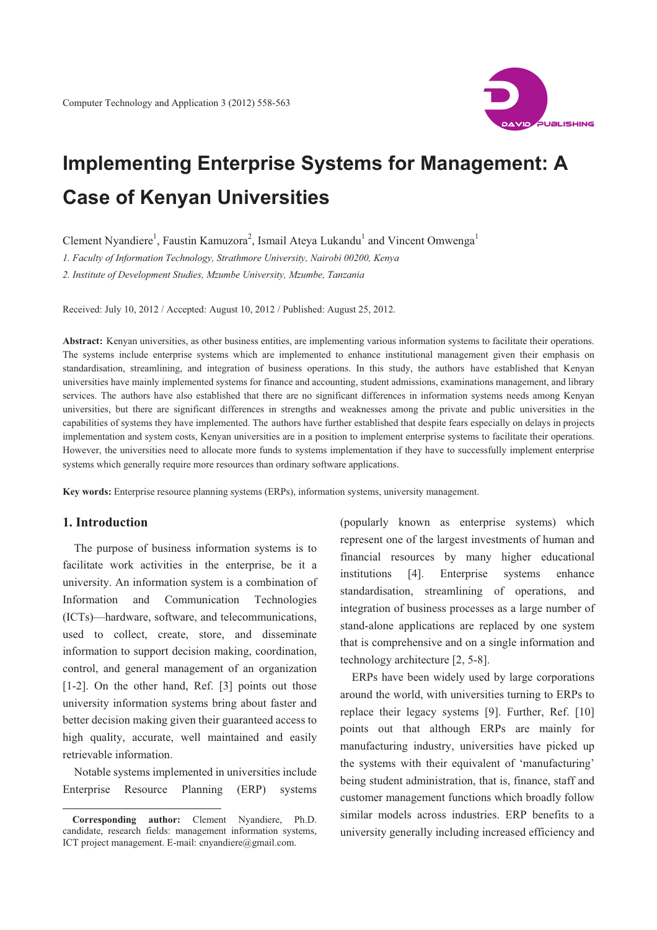

# **Implementing Enterprise Systems for Management: A Case of Kenyan Universities**

Clement Nyandiere<sup>1</sup>, Faustin Kamuzora<sup>2</sup>, Ismail Ateya Lukandu<sup>1</sup> and Vincent Omwenga<sup>1</sup>

*1. Faculty of Information Technology, Strathmore University, Nairobi 00200, Kenya* 

*2. Institute of Development Studies, Mzumbe University, Mzumbe, Tanzania* 

Received: July 10, 2012 / Accepted: August 10, 2012 / Published: August 25, 2012.

**Abstract:** Kenyan universities, as other business entities, are implementing various information systems to facilitate their operations. The systems include enterprise systems which are implemented to enhance institutional management given their emphasis on standardisation, streamlining, and integration of business operations. In this study, the authors have established that Kenyan universities have mainly implemented systems for finance and accounting, student admissions, examinations management, and library services. The authors have also established that there are no significant differences in information systems needs among Kenyan universities, but there are significant differences in strengths and weaknesses among the private and public universities in the capabilities of systems they have implemented. The authors have further established that despite fears especially on delays in projects implementation and system costs, Kenyan universities are in a position to implement enterprise systems to facilitate their operations. However, the universities need to allocate more funds to systems implementation if they have to successfully implement enterprise systems which generally require more resources than ordinary software applications.

**Key words:** Enterprise resource planning systems (ERPs), information systems, university management.

## **1. Introduction**

 $\overline{a}$ 

The purpose of business information systems is to facilitate work activities in the enterprise, be it a university. An information system is a combination of Information and Communication Technologies (ICTs)—hardware, software, and telecommunications, used to collect, create, store, and disseminate information to support decision making, coordination, control, and general management of an organization [1-2]. On the other hand, Ref. [3] points out those university information systems bring about faster and better decision making given their guaranteed access to high quality, accurate, well maintained and easily retrievable information.

Notable systems implemented in universities include Enterprise Resource Planning (ERP) systems (popularly known as enterprise systems) which represent one of the largest investments of human and financial resources by many higher educational institutions [4]. Enterprise systems enhance standardisation, streamlining of operations, and integration of business processes as a large number of stand-alone applications are replaced by one system that is comprehensive and on a single information and technology architecture [2, 5-8].

ERPs have been widely used by large corporations around the world, with universities turning to ERPs to replace their legacy systems [9]. Further, Ref. [10] points out that although ERPs are mainly for manufacturing industry, universities have picked up the systems with their equivalent of 'manufacturing' being student administration, that is, finance, staff and customer management functions which broadly follow similar models across industries. ERP benefits to a university generally including increased efficiency and

**Corresponding author:** Clement Nyandiere, Ph.D. candidate, research fields: management information systems, ICT project management. E-mail: cnyandiere@gmail.com.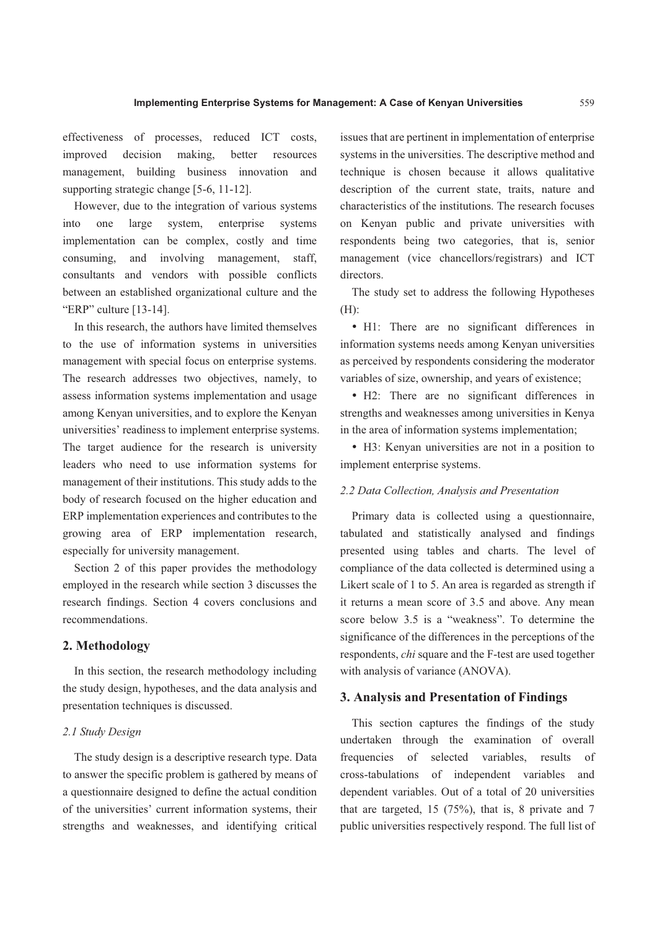effectiveness of processes, reduced ICT costs, improved decision making, better resources management, building business innovation and supporting strategic change [5-6, 11-12].

However, due to the integration of various systems into one large system, enterprise systems implementation can be complex, costly and time consuming, and involving management, staff, consultants and vendors with possible conflicts between an established organizational culture and the "ERP" culture [13-14].

In this research, the authors have limited themselves to the use of information systems in universities management with special focus on enterprise systems. The research addresses two objectives, namely, to assess information systems implementation and usage among Kenyan universities, and to explore the Kenyan universities' readiness to implement enterprise systems. The target audience for the research is university leaders who need to use information systems for management of their institutions. This study adds to the body of research focused on the higher education and ERP implementation experiences and contributes to the growing area of ERP implementation research, especially for university management.

Section 2 of this paper provides the methodology employed in the research while section 3 discusses the research findings. Section 4 covers conclusions and recommendations.

# **2. Methodology**

In this section, the research methodology including the study design, hypotheses, and the data analysis and presentation techniques is discussed.

## *2.1 Study Design*

The study design is a descriptive research type. Data to answer the specific problem is gathered by means of a questionnaire designed to define the actual condition of the universities' current information systems, their strengths and weaknesses, and identifying critical issues that are pertinent in implementation of enterprise systems in the universities. The descriptive method and technique is chosen because it allows qualitative description of the current state, traits, nature and characteristics of the institutions. The research focuses on Kenyan public and private universities with respondents being two categories, that is, senior management (vice chancellors/registrars) and ICT directors.

The study set to address the following Hypotheses (H):

• H1: There are no significant differences in information systems needs among Kenyan universities as perceived by respondents considering the moderator variables of size, ownership, and years of existence;

 H2: There are no significant differences in strengths and weaknesses among universities in Kenya in the area of information systems implementation;

 H3: Kenyan universities are not in a position to implement enterprise systems.

## *2.2 Data Collection, Analysis and Presentation*

Primary data is collected using a questionnaire, tabulated and statistically analysed and findings presented using tables and charts. The level of compliance of the data collected is determined using a Likert scale of 1 to 5. An area is regarded as strength if it returns a mean score of 3.5 and above. Any mean score below 3.5 is a "weakness". To determine the significance of the differences in the perceptions of the respondents, *chi* square and the F-test are used together with analysis of variance (ANOVA).

#### **3. Analysis and Presentation of Findings**

This section captures the findings of the study undertaken through the examination of overall frequencies of selected variables, results of cross-tabulations of independent variables and dependent variables. Out of a total of 20 universities that are targeted, 15 (75%), that is, 8 private and 7 public universities respectively respond. The full list of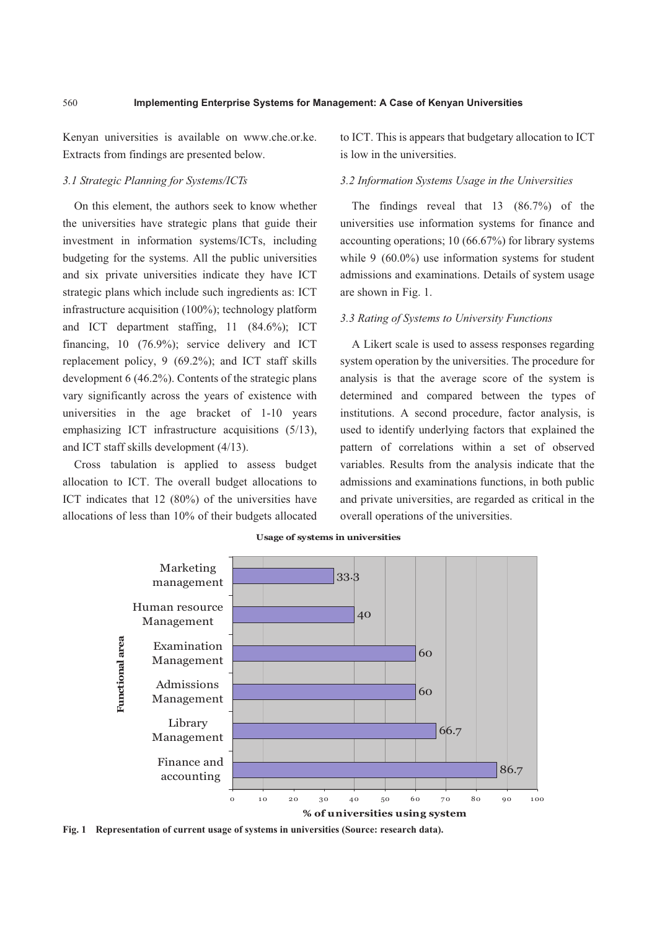Kenyan universities is available on www.che.or.ke. Extracts from findings are presented below.

## *3.1 Strategic Planning for Systems/ICTs*

On this element, the authors seek to know whether the universities have strategic plans that guide their investment in information systems/ICTs, including budgeting for the systems. All the public universities and six private universities indicate they have ICT strategic plans which include such ingredients as: ICT infrastructure acquisition (100%); technology platform and ICT department staffing, 11 (84.6%); ICT financing, 10 (76.9%); service delivery and ICT replacement policy, 9 (69.2%); and ICT staff skills development 6 (46.2%). Contents of the strategic plans vary significantly across the years of existence with universities in the age bracket of 1-10 years emphasizing ICT infrastructure acquisitions (5/13), and ICT staff skills development (4/13).

Cross tabulation is applied to assess budget allocation to ICT. The overall budget allocations to ICT indicates that 12 (80%) of the universities have allocations of less than 10% of their budgets allocated to ICT. This is appears that budgetary allocation to ICT is low in the universities.

## *3.2 Information Systems Usage in the Universities*

The findings reveal that 13 (86.7%) of the universities use information systems for finance and accounting operations; 10 (66.67%) for library systems while 9 (60.0%) use information systems for student admissions and examinations. Details of system usage are shown in Fig. 1.

#### *3.3 Rating of Systems to University Functions*

A Likert scale is used to assess responses regarding system operation by the universities. The procedure for analysis is that the average score of the system is determined and compared between the types of institutions. A second procedure, factor analysis, is used to identify underlying factors that explained the pattern of correlations within a set of observed variables. Results from the analysis indicate that the admissions and examinations functions, in both public and private universities, are regarded as critical in the overall operations of the universities.



**Usage of systems in universities**

**Fig. 1 Representation of current usage of systems in universities (Source: research data).**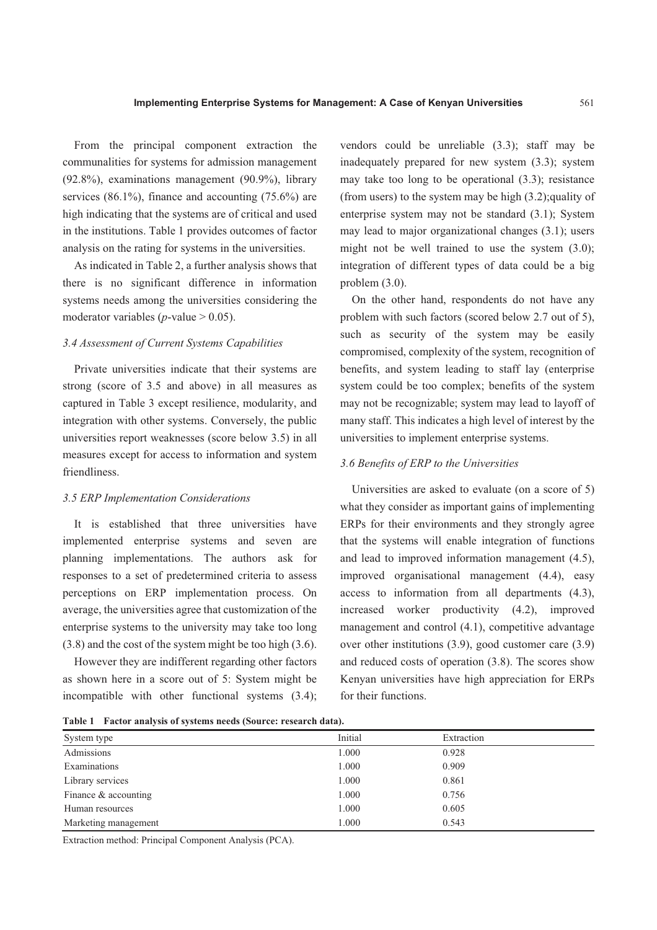From the principal component extraction the communalities for systems for admission management (92.8%), examinations management (90.9%), library services (86.1%), finance and accounting (75.6%) are high indicating that the systems are of critical and used in the institutions. Table 1 provides outcomes of factor analysis on the rating for systems in the universities.

As indicated in Table 2, a further analysis shows that there is no significant difference in information systems needs among the universities considering the moderator variables ( $p$ -value  $> 0.05$ ).

## *3.4 Assessment of Current Systems Capabilities*

Private universities indicate that their systems are strong (score of 3.5 and above) in all measures as captured in Table 3 except resilience, modularity, and integration with other systems. Conversely, the public universities report weaknesses (score below 3.5) in all measures except for access to information and system friendliness.

#### *3.5 ERP Implementation Considerations*

It is established that three universities have implemented enterprise systems and seven are planning implementations. The authors ask for responses to a set of predetermined criteria to assess perceptions on ERP implementation process. On average, the universities agree that customization of the enterprise systems to the university may take too long (3.8) and the cost of the system might be too high (3.6).

However they are indifferent regarding other factors as shown here in a score out of 5: System might be incompatible with other functional systems (3.4); vendors could be unreliable (3.3); staff may be inadequately prepared for new system (3.3); system may take too long to be operational (3.3); resistance (from users) to the system may be high (3.2);quality of enterprise system may not be standard (3.1); System may lead to major organizational changes (3.1); users might not be well trained to use the system (3.0); integration of different types of data could be a big problem (3.0).

On the other hand, respondents do not have any problem with such factors (scored below 2.7 out of 5), such as security of the system may be easily compromised, complexity of the system, recognition of benefits, and system leading to staff lay (enterprise system could be too complex; benefits of the system may not be recognizable; system may lead to layoff of many staff. This indicates a high level of interest by the universities to implement enterprise systems.

#### *3.6 Benefits of ERP to the Universities*

Universities are asked to evaluate (on a score of 5) what they consider as important gains of implementing ERPs for their environments and they strongly agree that the systems will enable integration of functions and lead to improved information management (4.5), improved organisational management (4.4), easy access to information from all departments (4.3), increased worker productivity (4.2), improved management and control (4.1), competitive advantage over other institutions (3.9), good customer care (3.9) and reduced costs of operation (3.8). The scores show Kenyan universities have high appreciation for ERPs for their functions.

**Table 1 Factor analysis of systems needs (Source: research data).** 

| System type          | Initial | Extraction |
|----------------------|---------|------------|
| Admissions           | 1.000   | 0.928      |
| Examinations         | 1.000   | 0.909      |
| Library services     | 1.000   | 0.861      |
| Finance & accounting | 1.000   | 0.756      |
| Human resources      | 1.000   | 0.605      |
| Marketing management | 1.000   | 0.543      |

Extraction method: Principal Component Analysis (PCA).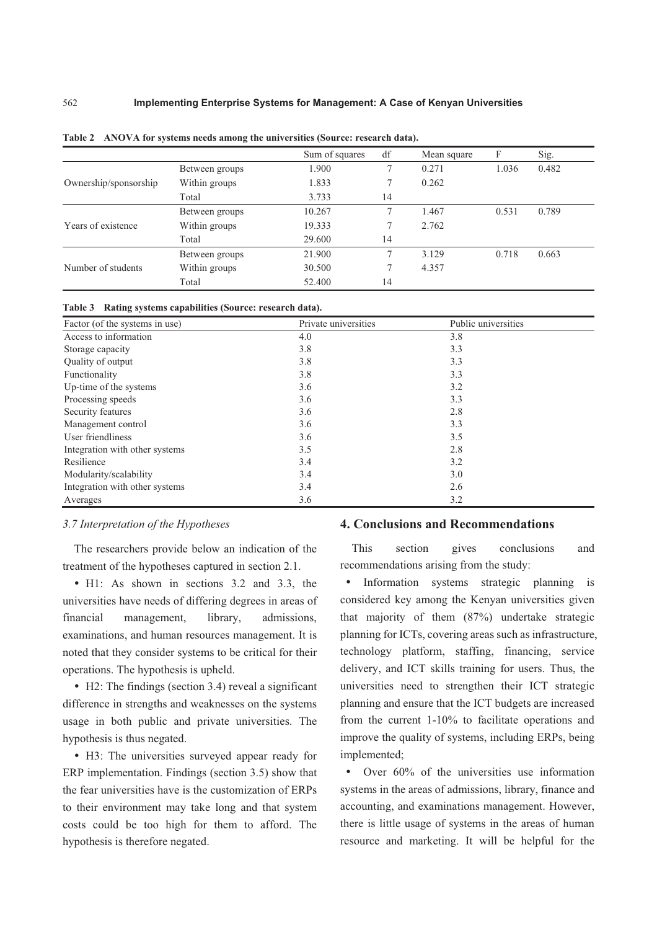|                       |                | Sum of squares | df     | Mean square | F     | Sig.  |
|-----------------------|----------------|----------------|--------|-------------|-------|-------|
| Ownership/sponsorship | Between groups | 1.900          |        | 0.271       | 1.036 | 0.482 |
|                       | Within groups  | 1.833          | 7      | 0.262       |       |       |
|                       | Total          | 3.733          | 14     |             |       |       |
| Years of existence    | Between groups | 10.267         | 7      | 1.467       | 0.531 | 0.789 |
|                       | Within groups  | 19.333         | $\tau$ | 2.762       |       |       |
|                       | Total          | 29.600         | 14     |             |       |       |
| Number of students    | Between groups | 21.900         | 7      | 3.129       | 0.718 | 0.663 |
|                       | Within groups  | 30.500         |        | 4.357       |       |       |
|                       | Total          | 52.400         | 14     |             |       |       |

| Table 2 ANOVA for systems needs among the universities (Source: research data). |  |  |
|---------------------------------------------------------------------------------|--|--|
|                                                                                 |  |  |

| Table 3 Rating systems capabilities (Source: research data). |  |  |
|--------------------------------------------------------------|--|--|
|                                                              |  |  |

| Factor (of the systems in use) | Private universities | Public universities |  |
|--------------------------------|----------------------|---------------------|--|
| Access to information          | 4.0                  | 3.8                 |  |
| Storage capacity               | 3.8                  | 3.3                 |  |
| Quality of output              | 3.8                  | 3.3                 |  |
| Functionality                  | 3.8                  | 3.3                 |  |
| Up-time of the systems         | 3.6                  | 3.2                 |  |
| Processing speeds              | 3.6                  | 3.3                 |  |
| Security features              | 3.6                  | 2.8                 |  |
| Management control             | 3.6                  | 3.3                 |  |
| User friendliness              | 3.6                  | 3.5                 |  |
| Integration with other systems | 3.5                  | 2.8                 |  |
| Resilience                     | 3.4                  | 3.2                 |  |
| Modularity/scalability         | 3.4                  | 3.0                 |  |
| Integration with other systems | 3.4                  | 2.6                 |  |
| Averages                       | 3.6                  | 3.2                 |  |

#### *3.7 Interpretation of the Hypotheses*

The researchers provide below an indication of the treatment of the hypotheses captured in section 2.1.

• H1: As shown in sections 3.2 and 3.3, the universities have needs of differing degrees in areas of financial management, library, admissions, examinations, and human resources management. It is noted that they consider systems to be critical for their operations. The hypothesis is upheld.

 H2: The findings (section 3.4) reveal a significant difference in strengths and weaknesses on the systems usage in both public and private universities. The hypothesis is thus negated.

 H3: The universities surveyed appear ready for ERP implementation. Findings (section 3.5) show that the fear universities have is the customization of ERPs to their environment may take long and that system costs could be too high for them to afford. The hypothesis is therefore negated.

## **4. Conclusions and Recommendations**

This section gives conclusions and recommendations arising from the study:

• Information systems strategic planning is considered key among the Kenyan universities given that majority of them (87%) undertake strategic planning for ICTs, covering areas such as infrastructure, technology platform, staffing, financing, service delivery, and ICT skills training for users. Thus, the universities need to strengthen their ICT strategic planning and ensure that the ICT budgets are increased from the current 1-10% to facilitate operations and improve the quality of systems, including ERPs, being implemented;

• Over 60% of the universities use information systems in the areas of admissions, library, finance and accounting, and examinations management. However, there is little usage of systems in the areas of human resource and marketing. It will be helpful for the